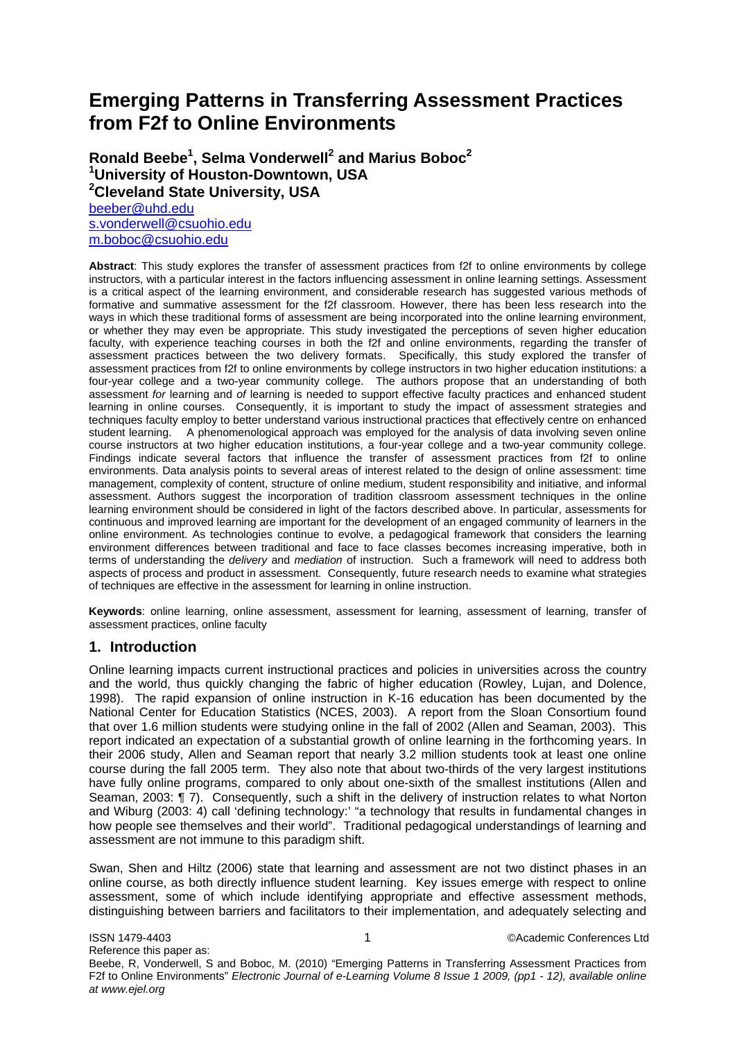# **Emerging Patterns in Transferring Assessment Practices from F2f to Online Environments**

**Ronald Beebe1 , Selma Vonderwell<sup>2</sup> and Marius Boboc2 1 University of Houston-Downtown, USA 2 Cleveland State University, USA**  [beeber@uhd.edu](mailto:beeber@uhd.edu)

[s.vonderwell@csuohio.edu](mailto:s.vonderwell@csuohio.edu) [m.boboc@csuohio.edu](mailto:m.boboc@csuohio.edu)

**Abstract**: This study explores the transfer of assessment practices from f2f to online environments by college instructors, with a particular interest in the factors influencing assessment in online learning settings. Assessment is a critical aspect of the learning environment, and considerable research has suggested various methods of formative and summative assessment for the f2f classroom. However, there has been less research into the ways in which these traditional forms of assessment are being incorporated into the online learning environment, or whether they may even be appropriate. This study investigated the perceptions of seven higher education faculty, with experience teaching courses in both the f2f and online environments, regarding the transfer of assessment practices between the two delivery formats. Specifically, this study explored the transfer of assessment practices from f2f to online environments by college instructors in two higher education institutions: a four-year college and a two-year community college. The authors propose that an understanding of both assessment *for* learning and *of* learning is needed to support effective faculty practices and enhanced student learning in online courses. Consequently, it is important to study the impact of assessment strategies and techniques faculty employ to better understand various instructional practices that effectively centre on enhanced student learning. A phenomenological approach was employed for the analysis of data involving seven online course instructors at two higher education institutions, a four-year college and a two-year community college. Findings indicate several factors that influence the transfer of assessment practices from f2f to online environments. Data analysis points to several areas of interest related to the design of online assessment: time management, complexity of content, structure of online medium, student responsibility and initiative, and informal assessment. Authors suggest the incorporation of tradition classroom assessment techniques in the online learning environment should be considered in light of the factors described above. In particular, assessments for continuous and improved learning are important for the development of an engaged community of learners in the online environment. As technologies continue to evolve, a pedagogical framework that considers the learning environment differences between traditional and face to face classes becomes increasing imperative, both in terms of understanding the *delivery* and *mediation* of instruction. Such a framework will need to address both aspects of process and product in assessment. Consequently, future research needs to examine what strategies of techniques are effective in the assessment for learning in online instruction.

**Keywords**: online learning, online assessment, assessment for learning, assessment of learning, transfer of assessment practices, online faculty

# **1. Introduction**

Online learning impacts current instructional practices and policies in universities across the country and the world, thus quickly changing the fabric of higher education (Rowley, Lujan, and Dolence, 1998). The rapid expansion of online instruction in K-16 education has been documented by the National Center for Education Statistics (NCES, 2003). A report from the Sloan Consortium found that over 1.6 million students were studying online in the fall of 2002 (Allen and Seaman, 2003). This report indicated an expectation of a substantial growth of online learning in the forthcoming years. In their 2006 study, Allen and Seaman report that nearly 3.2 million students took at least one online course during the fall 2005 term. They also note that about two-thirds of the very largest institutions have fully online programs, compared to only about one-sixth of the smallest institutions (Allen and Seaman, 2003: ¶ 7). Consequently, such a shift in the delivery of instruction relates to what Norton and Wiburg (2003: 4) call 'defining technology:' "a technology that results in fundamental changes in how people see themselves and their world". Traditional pedagogical understandings of learning and assessment are not immune to this paradigm shift.

Swan, Shen and Hiltz (2006) state that learning and assessment are not two distinct phases in an online course, as both directly influence student learning. Key issues emerge with respect to online assessment, some of which include identifying appropriate and effective assessment methods, distinguishing between barriers and facilitators to their implementation, and adequately selecting and

ISSN 1479-4403 **1 CONFERENT CONFERENT CONFERENCES** Ltd Reference this paper as: Beebe, R, Vonderwell, S and Boboc, M. (2010) "Emerging Patterns in Transferring Assessment Practices from F2f to Online Environments" *Electronic Journal of e-Learning Volume 8 Issue 1 2009, (pp1 - 12), available online at www.ejel.org*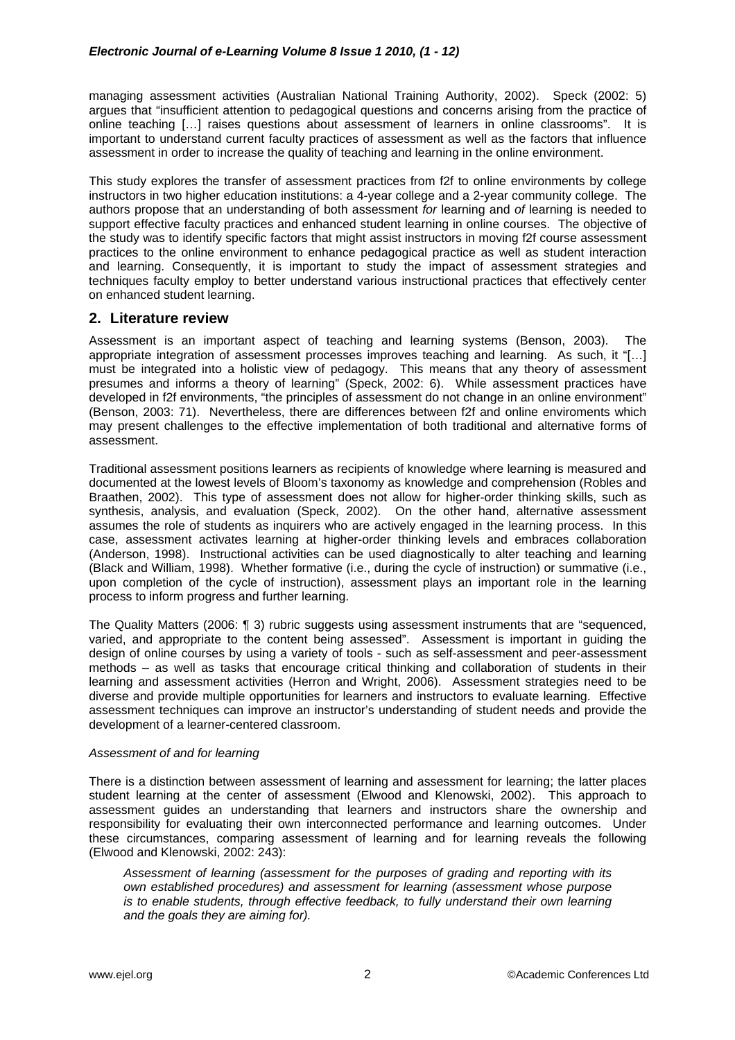managing assessment activities (Australian National Training Authority, 2002). Speck (2002: 5) argues that "insufficient attention to pedagogical questions and concerns arising from the practice of online teaching […] raises questions about assessment of learners in online classrooms". It is important to understand current faculty practices of assessment as well as the factors that influence assessment in order to increase the quality of teaching and learning in the online environment.

This study explores the transfer of assessment practices from f2f to online environments by college instructors in two higher education institutions: a 4-year college and a 2-year community college. The authors propose that an understanding of both assessment *for* learning and *of* learning is needed to support effective faculty practices and enhanced student learning in online courses. The objective of the study was to identify specific factors that might assist instructors in moving f2f course assessment practices to the online environment to enhance pedagogical practice as well as student interaction and learning. Consequently, it is important to study the impact of assessment strategies and techniques faculty employ to better understand various instructional practices that effectively center on enhanced student learning.

# **2. Literature review**

Assessment is an important aspect of teaching and learning systems (Benson, 2003). The appropriate integration of assessment processes improves teaching and learning. As such, it "[…] must be integrated into a holistic view of pedagogy. This means that any theory of assessment presumes and informs a theory of learning" (Speck, 2002: 6). While assessment practices have developed in f2f environments, "the principles of assessment do not change in an online environment" (Benson, 2003: 71). Nevertheless, there are differences between f2f and online enviroments which may present challenges to the effective implementation of both traditional and alternative forms of assessment.

Traditional assessment positions learners as recipients of knowledge where learning is measured and documented at the lowest levels of Bloom's taxonomy as knowledge and comprehension (Robles and Braathen, 2002). This type of assessment does not allow for higher-order thinking skills, such as synthesis, analysis, and evaluation (Speck, 2002). On the other hand, alternative assessment assumes the role of students as inquirers who are actively engaged in the learning process. In this case, assessment activates learning at higher-order thinking levels and embraces collaboration (Anderson, 1998). Instructional activities can be used diagnostically to alter teaching and learning (Black and William, 1998). Whether formative (i.e., during the cycle of instruction) or summative (i.e., upon completion of the cycle of instruction), assessment plays an important role in the learning process to inform progress and further learning.

The Quality Matters (2006: ¶ 3) rubric suggests using assessment instruments that are "sequenced, varied, and appropriate to the content being assessed". Assessment is important in guiding the design of online courses by using a variety of tools - such as self-assessment and peer-assessment methods – as well as tasks that encourage critical thinking and collaboration of students in their learning and assessment activities (Herron and Wright, 2006). Assessment strategies need to be diverse and provide multiple opportunities for learners and instructors to evaluate learning. Effective assessment techniques can improve an instructor's understanding of student needs and provide the development of a learner-centered classroom.

# *Assessment of and for learning*

There is a distinction between assessment of learning and assessment for learning; the latter places student learning at the center of assessment (Elwood and Klenowski, 2002). This approach to assessment guides an understanding that learners and instructors share the ownership and responsibility for evaluating their own interconnected performance and learning outcomes. Under these circumstances, comparing assessment of learning and for learning reveals the following (Elwood and Klenowski, 2002: 243):

*Assessment of learning (assessment for the purposes of grading and reporting with its own established procedures) and assessment for learning (assessment whose purpose is to enable students, through effective feedback, to fully understand their own learning and the goals they are aiming for).*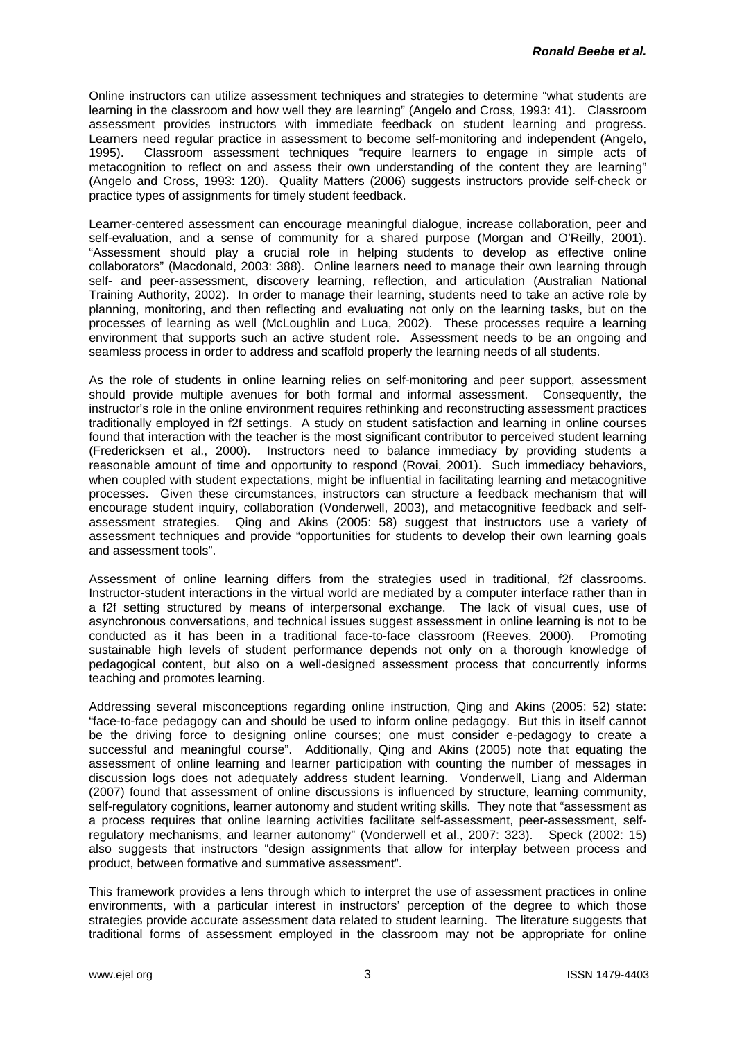Online instructors can utilize assessment techniques and strategies to determine "what students are learning in the classroom and how well they are learning" (Angelo and Cross, 1993: 41). Classroom assessment provides instructors with immediate feedback on student learning and progress. Learners need regular practice in assessment to become self-monitoring and independent (Angelo, 1995). Classroom assessment techniques "require learners to engage in simple acts of metacognition to reflect on and assess their own understanding of the content they are learning" (Angelo and Cross, 1993: 120). Quality Matters (2006) suggests instructors provide self-check or practice types of assignments for timely student feedback.

Learner-centered assessment can encourage meaningful dialogue, increase collaboration, peer and self-evaluation, and a sense of community for a shared purpose (Morgan and O'Reilly, 2001). "Assessment should play a crucial role in helping students to develop as effective online collaborators" (Macdonald, 2003: 388). Online learners need to manage their own learning through self- and peer-assessment, discovery learning, reflection, and articulation (Australian National Training Authority, 2002). In order to manage their learning, students need to take an active role by planning, monitoring, and then reflecting and evaluating not only on the learning tasks, but on the processes of learning as well (McLoughlin and Luca, 2002). These processes require a learning environment that supports such an active student role. Assessment needs to be an ongoing and seamless process in order to address and scaffold properly the learning needs of all students.

As the role of students in online learning relies on self-monitoring and peer support, assessment should provide multiple avenues for both formal and informal assessment. Consequently, the instructor's role in the online environment requires rethinking and reconstructing assessment practices traditionally employed in f2f settings. A study on student satisfaction and learning in online courses found that interaction with the teacher is the most significant contributor to perceived student learning (Fredericksen et al., 2000). Instructors need to balance immediacy by providing students a reasonable amount of time and opportunity to respond (Rovai, 2001). Such immediacy behaviors, when coupled with student expectations, might be influential in facilitating learning and metacognitive processes. Given these circumstances, instructors can structure a feedback mechanism that will encourage student inquiry, collaboration (Vonderwell, 2003), and metacognitive feedback and selfassessment strategies. Qing and Akins (2005: 58) suggest that instructors use a variety of assessment techniques and provide "opportunities for students to develop their own learning goals and assessment tools".

Assessment of online learning differs from the strategies used in traditional, f2f classrooms. Instructor-student interactions in the virtual world are mediated by a computer interface rather than in a f2f setting structured by means of interpersonal exchange. The lack of visual cues, use of asynchronous conversations, and technical issues suggest assessment in online learning is not to be conducted as it has been in a traditional face-to-face classroom (Reeves, 2000). Promoting sustainable high levels of student performance depends not only on a thorough knowledge of pedagogical content, but also on a well-designed assessment process that concurrently informs teaching and promotes learning.

Addressing several misconceptions regarding online instruction, Qing and Akins (2005: 52) state: "face-to-face pedagogy can and should be used to inform online pedagogy. But this in itself cannot be the driving force to designing online courses; one must consider e-pedagogy to create a successful and meaningful course". Additionally, Qing and Akins (2005) note that equating the assessment of online learning and learner participation with counting the number of messages in discussion logs does not adequately address student learning. Vonderwell, Liang and Alderman (2007) found that assessment of online discussions is influenced by structure, learning community, self-regulatory cognitions, learner autonomy and student writing skills. They note that "assessment as a process requires that online learning activities facilitate self-assessment, peer-assessment, selfregulatory mechanisms, and learner autonomy" (Vonderwell et al., 2007: 323). Speck (2002: 15) also suggests that instructors "design assignments that allow for interplay between process and product, between formative and summative assessment".

This framework provides a lens through which to interpret the use of assessment practices in online environments, with a particular interest in instructors' perception of the degree to which those strategies provide accurate assessment data related to student learning. The literature suggests that traditional forms of assessment employed in the classroom may not be appropriate for online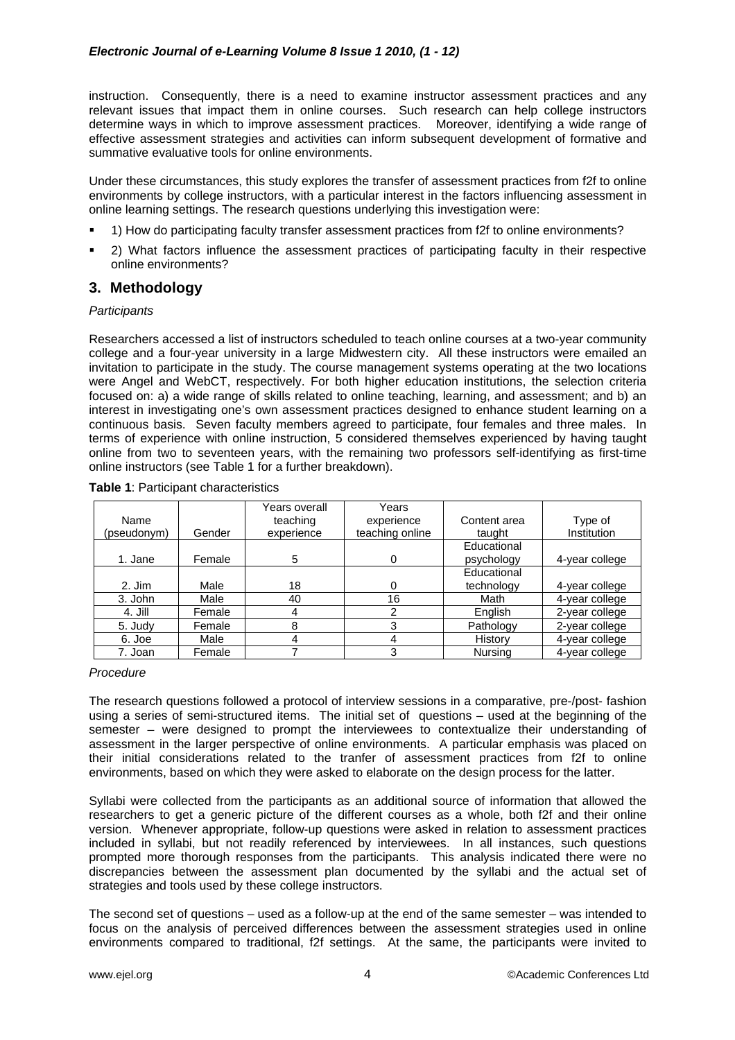instruction. Consequently, there is a need to examine instructor assessment practices and any relevant issues that impact them in online courses. Such research can help college instructors determine ways in which to improve assessment practices. Moreover, identifying a wide range of effective assessment strategies and activities can inform subsequent development of formative and summative evaluative tools for online environments.

Under these circumstances, this study explores the transfer of assessment practices from f2f to online environments by college instructors, with a particular interest in the factors influencing assessment in online learning settings. The research questions underlying this investigation were:

- 1) How do participating faculty transfer assessment practices from f2f to online environments?
- 2) What factors influence the assessment practices of participating faculty in their respective online environments?

# **3. Methodology**

## *Participants*

Researchers accessed a list of instructors scheduled to teach online courses at a two-year community college and a four-year university in a large Midwestern city. All these instructors were emailed an invitation to participate in the study. The course management systems operating at the two locations were Angel and WebCT, respectively. For both higher education institutions, the selection criteria focused on: a) a wide range of skills related to online teaching, learning, and assessment; and b) an interest in investigating one's own assessment practices designed to enhance student learning on a continuous basis. Seven faculty members agreed to participate, four females and three males. In terms of experience with online instruction, 5 considered themselves experienced by having taught online from two to seventeen years, with the remaining two professors self-identifying as first-time online instructors (see Table 1 for a further breakdown).

|             |        | Years overall | Years           |              |                |
|-------------|--------|---------------|-----------------|--------------|----------------|
| Name        |        | teaching      | experience      | Content area | Type of        |
| (pseudonym) | Gender | experience    | teaching online | taught       | Institution    |
|             |        |               |                 | Educational  |                |
| 1. Jane     | Female | 5             | 0               | psychology   | 4-year college |
|             |        |               |                 | Educational  |                |
| $2.$ Jim    | Male   | 18            |                 | technology   | 4-year college |
| 3. John     | Male   | 40            | 16              | Math         | 4-year college |
| 4. Jill     | Female | 4             | ົ               | English      | 2-year college |
| 5. Judy     | Female | 8             | っ               | Pathology    | 2-year college |
| 6. Joe      | Male   | 4             |                 | History      | 4-year college |
| 7. Joan     | Female |               | っ               | Nursina      | 4-year college |

## **Table 1**: Participant characteristics

## *Procedure*

The research questions followed a protocol of interview sessions in a comparative, pre-/post- fashion using a series of semi-structured items. The initial set of questions – used at the beginning of the semester – were designed to prompt the interviewees to contextualize their understanding of assessment in the larger perspective of online environments. A particular emphasis was placed on their initial considerations related to the tranfer of assessment practices from f2f to online environments, based on which they were asked to elaborate on the design process for the latter.

Syllabi were collected from the participants as an additional source of information that allowed the researchers to get a generic picture of the different courses as a whole, both f2f and their online version. Whenever appropriate, follow-up questions were asked in relation to assessment practices included in syllabi, but not readily referenced by interviewees. In all instances, such questions prompted more thorough responses from the participants. This analysis indicated there were no discrepancies between the assessment plan documented by the syllabi and the actual set of strategies and tools used by these college instructors.

The second set of questions – used as a follow-up at the end of the same semester – was intended to focus on the analysis of perceived differences between the assessment strategies used in online environments compared to traditional, f2f settings. At the same, the participants were invited to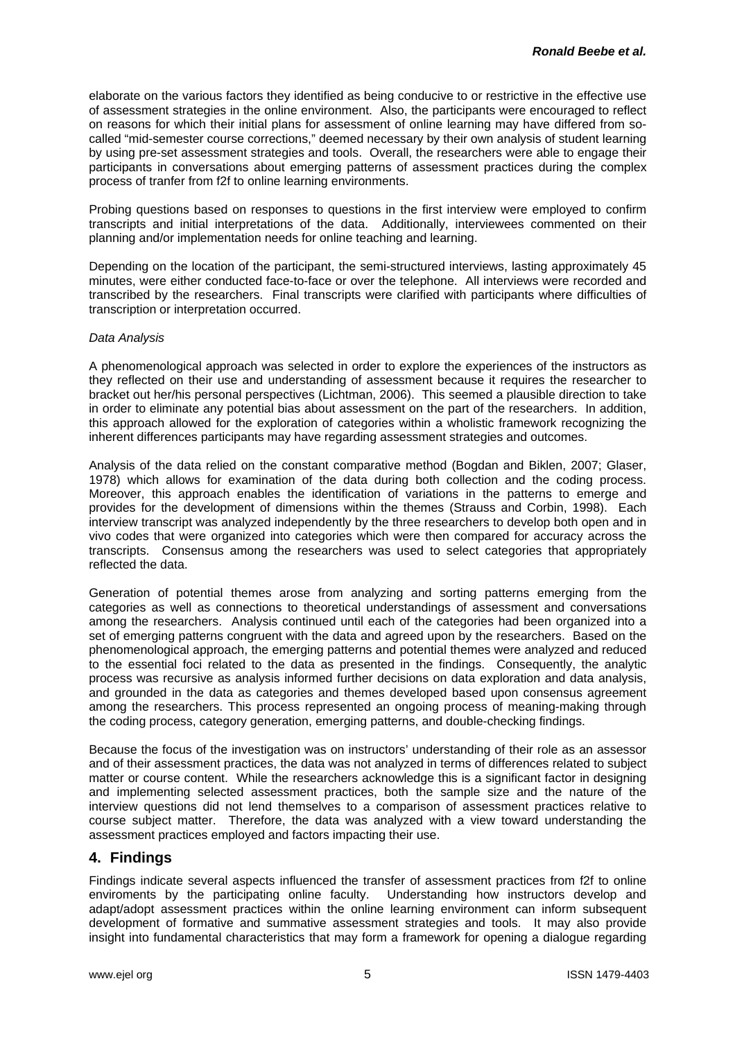elaborate on the various factors they identified as being conducive to or restrictive in the effective use of assessment strategies in the online environment. Also, the participants were encouraged to reflect on reasons for which their initial plans for assessment of online learning may have differed from socalled "mid-semester course corrections," deemed necessary by their own analysis of student learning by using pre-set assessment strategies and tools. Overall, the researchers were able to engage their participants in conversations about emerging patterns of assessment practices during the complex process of tranfer from f2f to online learning environments.

Probing questions based on responses to questions in the first interview were employed to confirm transcripts and initial interpretations of the data. Additionally, interviewees commented on their planning and/or implementation needs for online teaching and learning.

Depending on the location of the participant, the semi-structured interviews, lasting approximately 45 minutes, were either conducted face-to-face or over the telephone. All interviews were recorded and transcribed by the researchers. Final transcripts were clarified with participants where difficulties of transcription or interpretation occurred.

## *Data Analysis*

A phenomenological approach was selected in order to explore the experiences of the instructors as they reflected on their use and understanding of assessment because it requires the researcher to bracket out her/his personal perspectives (Lichtman, 2006). This seemed a plausible direction to take in order to eliminate any potential bias about assessment on the part of the researchers. In addition, this approach allowed for the exploration of categories within a wholistic framework recognizing the inherent differences participants may have regarding assessment strategies and outcomes.

Analysis of the data relied on the constant comparative method (Bogdan and Biklen, 2007; Glaser, 1978) which allows for examination of the data during both collection and the coding process. Moreover, this approach enables the identification of variations in the patterns to emerge and provides for the development of dimensions within the themes (Strauss and Corbin, 1998). Each interview transcript was analyzed independently by the three researchers to develop both open and in vivo codes that were organized into categories which were then compared for accuracy across the transcripts. Consensus among the researchers was used to select categories that appropriately reflected the data.

Generation of potential themes arose from analyzing and sorting patterns emerging from the categories as well as connections to theoretical understandings of assessment and conversations among the researchers. Analysis continued until each of the categories had been organized into a set of emerging patterns congruent with the data and agreed upon by the researchers. Based on the phenomenological approach, the emerging patterns and potential themes were analyzed and reduced to the essential foci related to the data as presented in the findings. Consequently, the analytic process was recursive as analysis informed further decisions on data exploration and data analysis, and grounded in the data as categories and themes developed based upon consensus agreement among the researchers. This process represented an ongoing process of meaning-making through the coding process, category generation, emerging patterns, and double-checking findings.

Because the focus of the investigation was on instructors' understanding of their role as an assessor and of their assessment practices, the data was not analyzed in terms of differences related to subject matter or course content. While the researchers acknowledge this is a significant factor in designing and implementing selected assessment practices, both the sample size and the nature of the interview questions did not lend themselves to a comparison of assessment practices relative to course subject matter. Therefore, the data was analyzed with a view toward understanding the assessment practices employed and factors impacting their use.

# **4. Findings**

Findings indicate several aspects influenced the transfer of assessment practices from f2f to online enviroments by the participating online faculty. Understanding how instructors develop and adapt/adopt assessment practices within the online learning environment can inform subsequent development of formative and summative assessment strategies and tools. It may also provide insight into fundamental characteristics that may form a framework for opening a dialogue regarding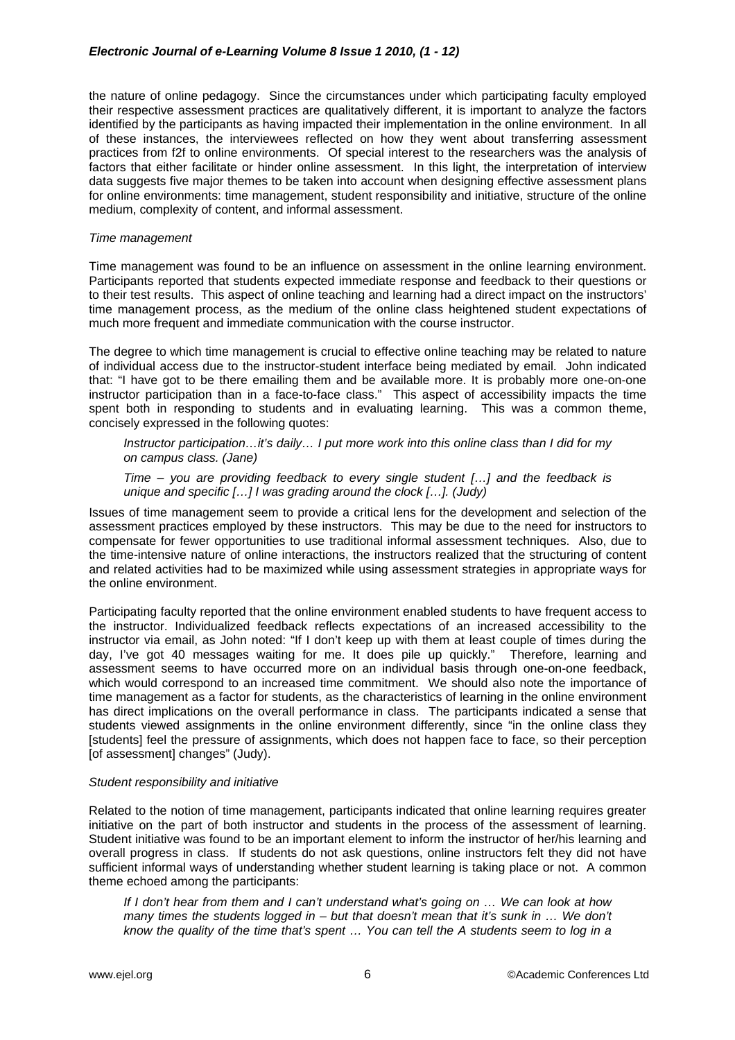the nature of online pedagogy. Since the circumstances under which participating faculty employed their respective assessment practices are qualitatively different, it is important to analyze the factors identified by the participants as having impacted their implementation in the online environment. In all of these instances, the interviewees reflected on how they went about transferring assessment practices from f2f to online environments. Of special interest to the researchers was the analysis of factors that either facilitate or hinder online assessment. In this light, the interpretation of interview data suggests five major themes to be taken into account when designing effective assessment plans for online environments: time management, student responsibility and initiative, structure of the online medium, complexity of content, and informal assessment.

## *Time management*

Time management was found to be an influence on assessment in the online learning environment. Participants reported that students expected immediate response and feedback to their questions or to their test results. This aspect of online teaching and learning had a direct impact on the instructors' time management process, as the medium of the online class heightened student expectations of much more frequent and immediate communication with the course instructor.

The degree to which time management is crucial to effective online teaching may be related to nature of individual access due to the instructor-student interface being mediated by email. John indicated that: "I have got to be there emailing them and be available more. It is probably more one-on-one instructor participation than in a face-to-face class." This aspect of accessibility impacts the time spent both in responding to students and in evaluating learning. This was a common theme, concisely expressed in the following quotes:

*Instructor participation…it's daily… I put more work into this online class than I did for my on campus class. (Jane)* 

*Time – you are providing feedback to every single student […] and the feedback is unique and specific […] I was grading around the clock […]. (Judy)* 

Issues of time management seem to provide a critical lens for the development and selection of the assessment practices employed by these instructors. This may be due to the need for instructors to compensate for fewer opportunities to use traditional informal assessment techniques. Also, due to the time-intensive nature of online interactions, the instructors realized that the structuring of content and related activities had to be maximized while using assessment strategies in appropriate ways for the online environment.

Participating faculty reported that the online environment enabled students to have frequent access to the instructor. Individualized feedback reflects expectations of an increased accessibility to the instructor via email, as John noted: "If I don't keep up with them at least couple of times during the day, I've got 40 messages waiting for me. It does pile up quickly." Therefore, learning and assessment seems to have occurred more on an individual basis through one-on-one feedback, which would correspond to an increased time commitment. We should also note the importance of time management as a factor for students, as the characteristics of learning in the online environment has direct implications on the overall performance in class. The participants indicated a sense that students viewed assignments in the online environment differently, since "in the online class they [students] feel the pressure of assignments, which does not happen face to face, so their perception [of assessment] changes" (Judy).

# *Student responsibility and initiative*

Related to the notion of time management, participants indicated that online learning requires greater initiative on the part of both instructor and students in the process of the assessment of learning. Student initiative was found to be an important element to inform the instructor of her/his learning and overall progress in class. If students do not ask questions, online instructors felt they did not have sufficient informal ways of understanding whether student learning is taking place or not. A common theme echoed among the participants:

*If I don't hear from them and I can't understand what's going on … We can look at how many times the students logged in – but that doesn't mean that it's sunk in ... We don't know the quality of the time that's spent … You can tell the A students seem to log in a*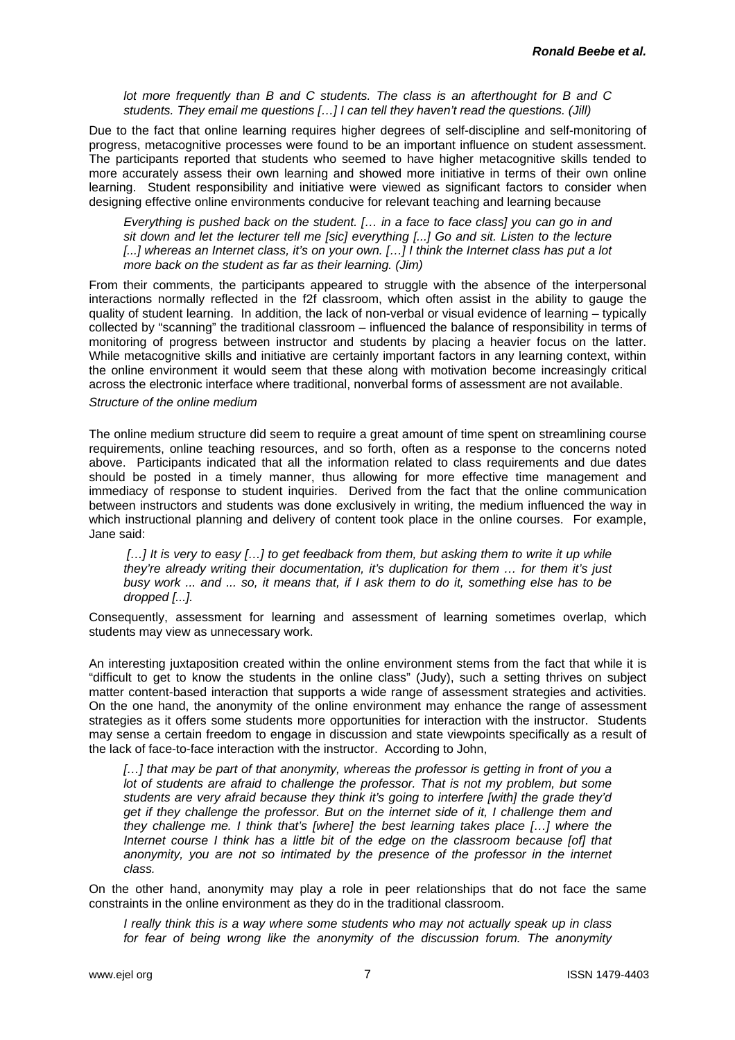*lot more frequently than B and C students. The class is an afterthought for B and C students. They email me questions […] I can tell they haven't read the questions. (Jill)* 

Due to the fact that online learning requires higher degrees of self-discipline and self-monitoring of progress, metacognitive processes were found to be an important influence on student assessment. The participants reported that students who seemed to have higher metacognitive skills tended to more accurately assess their own learning and showed more initiative in terms of their own online learning. Student responsibility and initiative were viewed as significant factors to consider when designing effective online environments conducive for relevant teaching and learning because

*Everything is pushed back on the student. [… in a face to face class] you can go in and sit down and let the lecturer tell me [sic] everything [...] Go and sit. Listen to the lecture*  [...] whereas an Internet class, it's on your own. [...] I think the Internet class has put a lot *more back on the student as far as their learning. (Jim)* 

From their comments, the participants appeared to struggle with the absence of the interpersonal interactions normally reflected in the f2f classroom, which often assist in the ability to gauge the quality of student learning. In addition, the lack of non-verbal or visual evidence of learning – typically collected by "scanning" the traditional classroom – influenced the balance of responsibility in terms of monitoring of progress between instructor and students by placing a heavier focus on the latter. While metacognitive skills and initiative are certainly important factors in any learning context, within the online environment it would seem that these along with motivation become increasingly critical across the electronic interface where traditional, nonverbal forms of assessment are not available.

## *Structure of the online medium*

The online medium structure did seem to require a great amount of time spent on streamlining course requirements, online teaching resources, and so forth, often as a response to the concerns noted above. Participants indicated that all the information related to class requirements and due dates should be posted in a timely manner, thus allowing for more effective time management and immediacy of response to student inquiries.Derived from the fact that the online communication between instructors and students was done exclusively in writing, the medium influenced the way in which instructional planning and delivery of content took place in the online courses. For example, Jane said:

 *[…] It is very to easy […] to get feedback from them, but asking them to write it up while they're already writing their documentation, it's duplication for them … for them it's just busy work ... and ... so, it means that, if I ask them to do it, something else has to be dropped [...].* 

Consequently, assessment for learning and assessment of learning sometimes overlap, which students may view as unnecessary work.

An interesting juxtaposition created within the online environment stems from the fact that while it is "difficult to get to know the students in the online class" (Judy), such a setting thrives on subject matter content-based interaction that supports a wide range of assessment strategies and activities. On the one hand, the anonymity of the online environment may enhance the range of assessment strategies as it offers some students more opportunities for interaction with the instructor. Students may sense a certain freedom to engage in discussion and state viewpoints specifically as a result of the lack of face-to-face interaction with the instructor. According to John,

*[…] that may be part of that anonymity, whereas the professor is getting in front of you a lot of students are afraid to challenge the professor. That is not my problem, but some students are very afraid because they think it's going to interfere [with] the grade they'd get if they challenge the professor. But on the internet side of it, I challenge them and they challenge me. I think that's [where] the best learning takes place […] where the Internet course I think has a little bit of the edge on the classroom because [of] that anonymity, you are not so intimated by the presence of the professor in the internet class.* 

On the other hand, anonymity may play a role in peer relationships that do not face the same constraints in the online environment as they do in the traditional classroom.

*I really think this is a way where some students who may not actually speak up in class*  for fear of being wrong like the anonymity of the discussion forum. The anonymity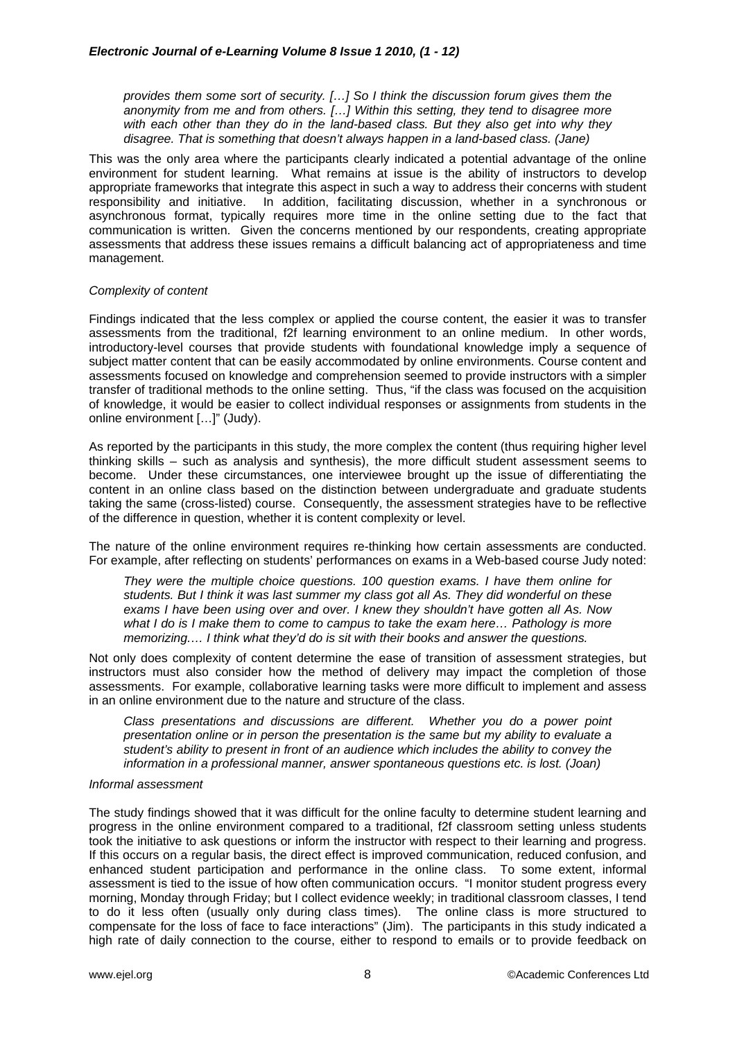*provides them some sort of security. […] So I think the discussion forum gives them the anonymity from me and from others. […] Within this setting, they tend to disagree more with each other than they do in the land-based class. But they also get into why they disagree. That is something that doesn't always happen in a land-based class. (Jane)* 

This was the only area where the participants clearly indicated a potential advantage of the online environment for student learning. What remains at issue is the ability of instructors to develop appropriate frameworks that integrate this aspect in such a way to address their concerns with student responsibility and initiative. In addition, facilitating discussion, whether in a synchronous or asynchronous format, typically requires more time in the online setting due to the fact that communication is written. Given the concerns mentioned by our respondents, creating appropriate assessments that address these issues remains a difficult balancing act of appropriateness and time management.

## *Complexity of content*

Findings indicated that the less complex or applied the course content, the easier it was to transfer assessments from the traditional, f2f learning environment to an online medium. In other words, introductory-level courses that provide students with foundational knowledge imply a sequence of subject matter content that can be easily accommodated by online environments. Course content and assessments focused on knowledge and comprehension seemed to provide instructors with a simpler transfer of traditional methods to the online setting. Thus, "if the class was focused on the acquisition of knowledge, it would be easier to collect individual responses or assignments from students in the online environment […]" (Judy).

As reported by the participants in this study, the more complex the content (thus requiring higher level thinking skills – such as analysis and synthesis), the more difficult student assessment seems to become. Under these circumstances, one interviewee brought up the issue of differentiating the content in an online class based on the distinction between undergraduate and graduate students taking the same (cross-listed) course. Consequently, the assessment strategies have to be reflective of the difference in question, whether it is content complexity or level.

The nature of the online environment requires re-thinking how certain assessments are conducted. For example, after reflecting on students' performances on exams in a Web-based course Judy noted:

*They were the multiple choice questions. 100 question exams. I have them online for students. But I think it was last summer my class got all As. They did wonderful on these exams I have been using over and over. I knew they shouldn't have gotten all As. Now what I do is I make them to come to campus to take the exam here… Pathology is more memorizing.… I think what they'd do is sit with their books and answer the questions.* 

Not only does complexity of content determine the ease of transition of assessment strategies, but instructors must also consider how the method of delivery may impact the completion of those assessments. For example, collaborative learning tasks were more difficult to implement and assess in an online environment due to the nature and structure of the class.

*Class presentations and discussions are different. Whether you do a power point presentation online or in person the presentation is the same but my ability to evaluate a student's ability to present in front of an audience which includes the ability to convey the information in a professional manner, answer spontaneous questions etc. is lost. (Joan)* 

## *Informal assessment*

The study findings showed that it was difficult for the online faculty to determine student learning and progress in the online environment compared to a traditional, f2f classroom setting unless students took the initiative to ask questions or inform the instructor with respect to their learning and progress. If this occurs on a regular basis, the direct effect is improved communication, reduced confusion, and enhanced student participation and performance in the online class. To some extent, informal assessment is tied to the issue of how often communication occurs. "I monitor student progress every morning, Monday through Friday; but I collect evidence weekly; in traditional classroom classes, I tend to do it less often (usually only during class times). The online class is more structured to compensate for the loss of face to face interactions" (Jim). The participants in this study indicated a high rate of daily connection to the course, either to respond to emails or to provide feedback on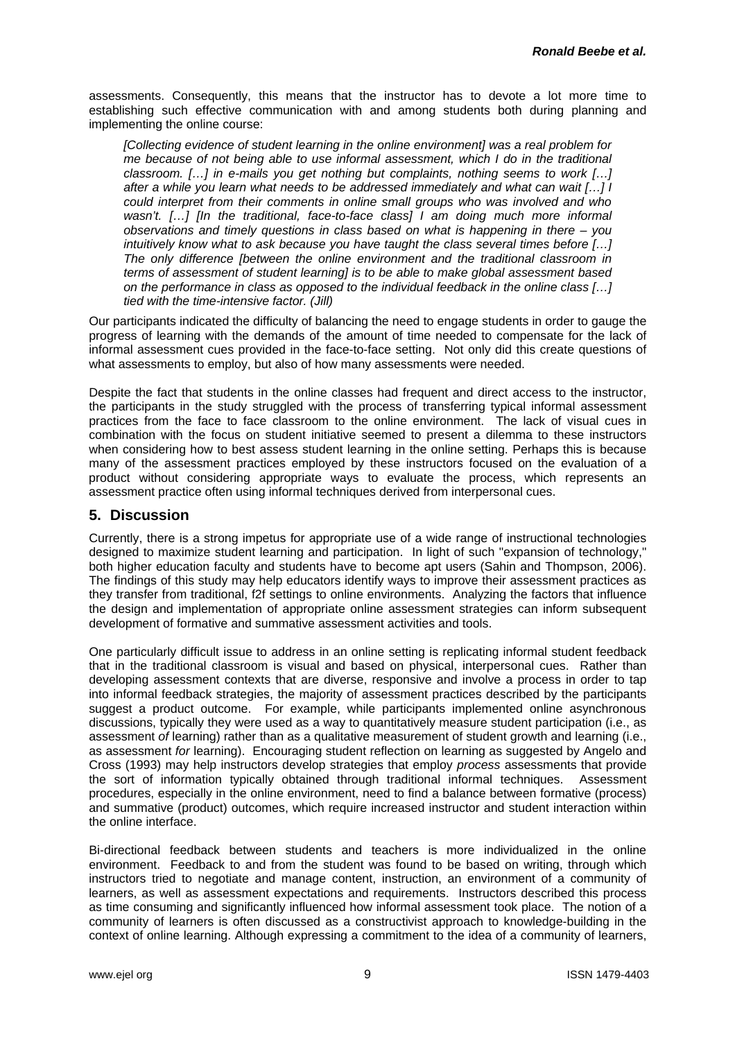assessments. Consequently, this means that the instructor has to devote a lot more time to establishing such effective communication with and among students both during planning and implementing the online course:

*[Collecting evidence of student learning in the online environment] was a real problem for me because of not being able to use informal assessment, which I do in the traditional classroom. […] in e-mails you get nothing but complaints, nothing seems to work […] after a while you learn what needs to be addressed immediately and what can wait […] I could interpret from their comments in online small groups who was involved and who*  wasn't. [...] [In the traditional, face-to-face class] I am doing much more informal *observations and timely questions in class based on what is happening in there – you intuitively know what to ask because you have taught the class several times before […] The only difference [between the online environment and the traditional classroom in terms of assessment of student learning] is to be able to make global assessment based on the performance in class as opposed to the individual feedback in the online class […] tied with the time-intensive factor. (Jill)* 

Our participants indicated the difficulty of balancing the need to engage students in order to gauge the progress of learning with the demands of the amount of time needed to compensate for the lack of informal assessment cues provided in the face-to-face setting. Not only did this create questions of what assessments to employ, but also of how many assessments were needed.

Despite the fact that students in the online classes had frequent and direct access to the instructor, the participants in the study struggled with the process of transferring typical informal assessment practices from the face to face classroom to the online environment. The lack of visual cues in combination with the focus on student initiative seemed to present a dilemma to these instructors when considering how to best assess student learning in the online setting. Perhaps this is because many of the assessment practices employed by these instructors focused on the evaluation of a product without considering appropriate ways to evaluate the process, which represents an assessment practice often using informal techniques derived from interpersonal cues.

# **5. Discussion**

Currently, there is a strong impetus for appropriate use of a wide range of instructional technologies designed to maximize student learning and participation. In light of such "expansion of technology," both higher education faculty and students have to become apt users (Sahin and Thompson, 2006). The findings of this study may help educators identify ways to improve their assessment practices as they transfer from traditional, f2f settings to online environments. Analyzing the factors that influence the design and implementation of appropriate online assessment strategies can inform subsequent development of formative and summative assessment activities and tools.

One particularly difficult issue to address in an online setting is replicating informal student feedback that in the traditional classroom is visual and based on physical, interpersonal cues. Rather than developing assessment contexts that are diverse, responsive and involve a process in order to tap into informal feedback strategies, the majority of assessment practices described by the participants suggest a product outcome. For example, while participants implemented online asynchronous discussions, typically they were used as a way to quantitatively measure student participation (i.e., as assessment *of* learning) rather than as a qualitative measurement of student growth and learning (i.e., as assessment *for* learning). Encouraging student reflection on learning as suggested by Angelo and Cross (1993) may help instructors develop strategies that employ *process* assessments that provide the sort of information typically obtained through traditional informal techniques. Assessment procedures, especially in the online environment, need to find a balance between formative (process) and summative (product) outcomes, which require increased instructor and student interaction within the online interface.

Bi-directional feedback between students and teachers is more individualized in the online environment. Feedback to and from the student was found to be based on writing, through which instructors tried to negotiate and manage content, instruction, an environment of a community of learners, as well as assessment expectations and requirements. Instructors described this process as time consuming and significantly influenced how informal assessment took place. The notion of a community of learners is often discussed as a constructivist approach to knowledge-building in the context of online learning. Although expressing a commitment to the idea of a community of learners,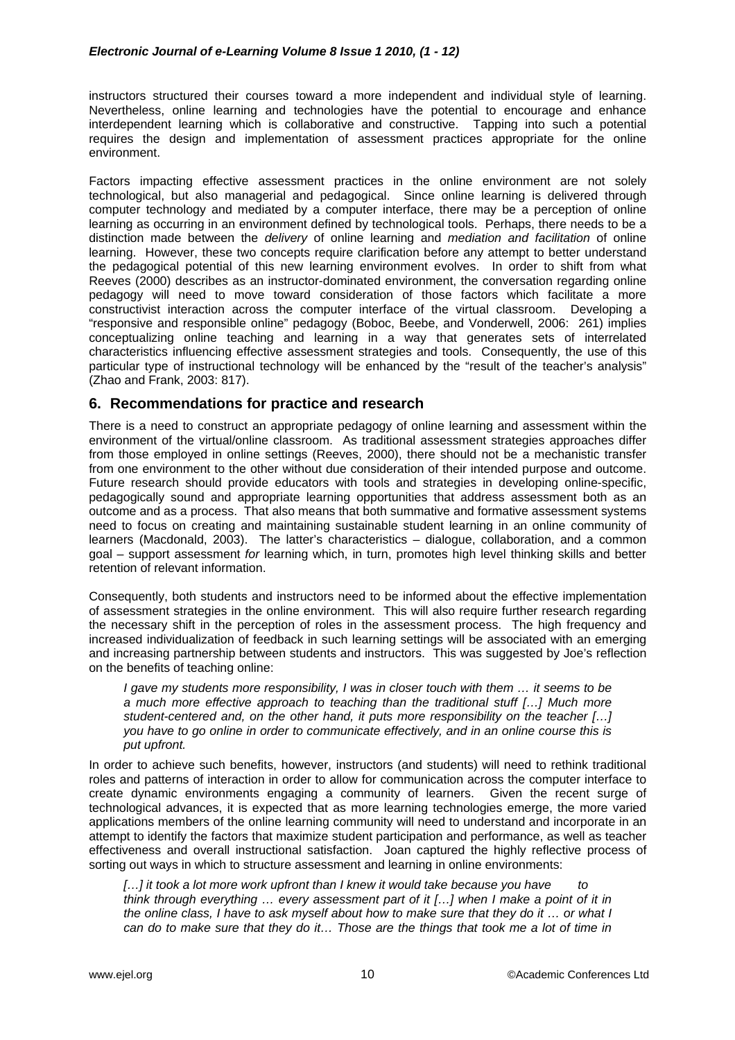instructors structured their courses toward a more independent and individual style of learning. Nevertheless, online learning and technologies have the potential to encourage and enhance interdependent learning which is collaborative and constructive. Tapping into such a potential requires the design and implementation of assessment practices appropriate for the online environment.

Factors impacting effective assessment practices in the online environment are not solely technological, but also managerial and pedagogical. Since online learning is delivered through computer technology and mediated by a computer interface, there may be a perception of online learning as occurring in an environment defined by technological tools. Perhaps, there needs to be a distinction made between the *delivery* of online learning and *mediation and facilitation* of online learning. However, these two concepts require clarification before any attempt to better understand the pedagogical potential of this new learning environment evolves. In order to shift from what Reeves (2000) describes as an instructor-dominated environment, the conversation regarding online pedagogy will need to move toward consideration of those factors which facilitate a more constructivist interaction across the computer interface of the virtual classroom. Developing a "responsive and responsible online" pedagogy (Boboc, Beebe, and Vonderwell, 2006: 261) implies conceptualizing online teaching and learning in a way that generates sets of interrelated characteristics influencing effective assessment strategies and tools. Consequently, the use of this particular type of instructional technology will be enhanced by the "result of the teacher's analysis" (Zhao and Frank, 2003: 817).

# **6. Recommendations for practice and research**

There is a need to construct an appropriate pedagogy of online learning and assessment within the environment of the virtual/online classroom. As traditional assessment strategies approaches differ from those employed in online settings (Reeves, 2000), there should not be a mechanistic transfer from one environment to the other without due consideration of their intended purpose and outcome. Future research should provide educators with tools and strategies in developing online-specific, pedagogically sound and appropriate learning opportunities that address assessment both as an outcome and as a process. That also means that both summative and formative assessment systems need to focus on creating and maintaining sustainable student learning in an online community of learners (Macdonald, 2003). The latter's characteristics – dialogue, collaboration, and a common goal – support assessment *for* learning which, in turn, promotes high level thinking skills and better retention of relevant information.

Consequently, both students and instructors need to be informed about the effective implementation of assessment strategies in the online environment. This will also require further research regarding the necessary shift in the perception of roles in the assessment process. The high frequency and increased individualization of feedback in such learning settings will be associated with an emerging and increasing partnership between students and instructors. This was suggested by Joe's reflection on the benefits of teaching online:

*I gave my students more responsibility, I was in closer touch with them … it seems to be a much more effective approach to teaching than the traditional stuff […] Much more student-centered and, on the other hand, it puts more responsibility on the teacher […] you have to go online in order to communicate effectively, and in an online course this is put upfront.* 

In order to achieve such benefits, however, instructors (and students) will need to rethink traditional roles and patterns of interaction in order to allow for communication across the computer interface to create dynamic environments engaging a community of learners. Given the recent surge of technological advances, it is expected that as more learning technologies emerge, the more varied applications members of the online learning community will need to understand and incorporate in an attempt to identify the factors that maximize student participation and performance, as well as teacher effectiveness and overall instructional satisfaction. Joan captured the highly reflective process of sorting out ways in which to structure assessment and learning in online environments:

*[…] it took a lot more work upfront than I knew it would take because you have to think through everything … every assessment part of it […] when I make a point of it in the online class, I have to ask myself about how to make sure that they do it … or what I can do to make sure that they do it… Those are the things that took me a lot of time in*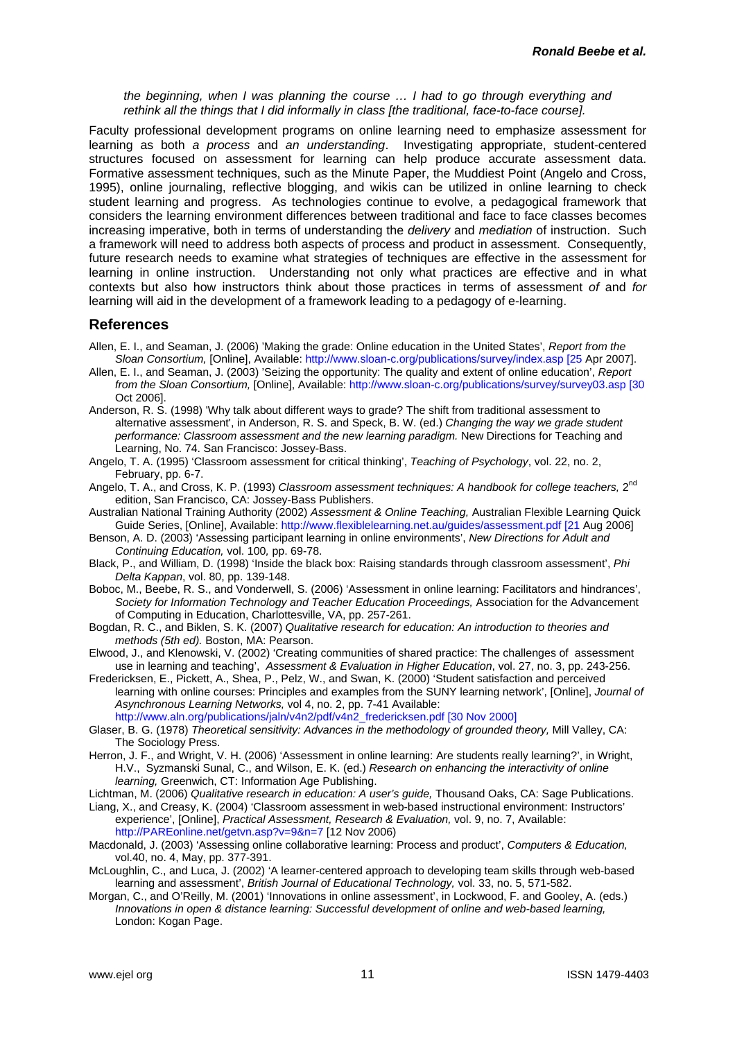*the beginning, when I was planning the course … I had to go through everything and rethink all the things that I did informally in class [the traditional, face-to-face course].* 

Faculty professional development programs on online learning need to emphasize assessment for learning as both *a process* and *an understanding*. Investigating appropriate, student-centered structures focused on assessment for learning can help produce accurate assessment data. Formative assessment techniques, such as the Minute Paper, the Muddiest Point (Angelo and Cross, 1995), online journaling, reflective blogging, and wikis can be utilized in online learning to check student learning and progress. As technologies continue to evolve, a pedagogical framework that considers the learning environment differences between traditional and face to face classes becomes increasing imperative, both in terms of understanding the *delivery* and *mediation* of instruction. Such a framework will need to address both aspects of process and product in assessment. Consequently, future research needs to examine what strategies of techniques are effective in the assessment for learning in online instruction. Understanding not only what practices are effective and in what contexts but also how instructors think about those practices in terms of assessment *of* and *for* learning will aid in the development of a framework leading to a pedagogy of e-learning.

## **References**

- Allen, E. I., and Seaman, J. (2006) 'Making the grade: Online education in the United States', *Report from the Sloan Consortium,* [Online], Available: [http://www.sloan-c.org/publications/survey/index.asp \[25](http://www.sloan-c.org/publications/survey/index.asp%20%5B25) Apr 2007].
- Allen, E. I., and Seaman, J. (2003) 'Seizing the opportunity: The quality and extent of online education', *Report from the Sloan Consortium,* [Online], Available: [http://www.sloan-c.org/publications/survey/survey03.asp \[30](http://www.sloan-c.org/publications/survey/survey03.asp%20%5B30) Oct 2006].
- Anderson, R. S. (1998) 'Why talk about different ways to grade? The shift from traditional assessment to alternative assessment', in Anderson, R. S. and Speck, B. W. (ed.) *Changing the way we grade student performance: Classroom assessment and the new learning paradigm.* New Directions for Teaching and Learning, No. 74. San Francisco: Jossey-Bass.
- Angelo, T. A. (1995) 'Classroom assessment for critical thinking', *Teaching of Psychology*, vol. 22, no. 2, February, pp. 6-7.
- Angelo, T. A., and Cross, K. P. (1993) *Classroom assessment techniques: A handbook for college teachers*. 2<sup>nd</sup> edition, San Francisco, CA: Jossey-Bass Publishers.
- Australian National Training Authority (2002) *Assessment & Online Teaching,* Australian Flexible Learning Quick Guide Series, [Online], Available: [http://www.flexiblelearning.net.au/guides/assessment.pdf \[21](http://www.flexiblelearning.net.au/guides/assessment.pdf%20%5B21) Aug 2006]
- Benson, A. D. (2003) 'Assessing participant learning in online environments', *New Directions for Adult and Continuing Education,* vol. 100*,* pp. 69-78.
- Black, P., and William, D. (1998) 'Inside the black box: Raising standards through classroom assessment', *Phi Delta Kappan*, vol. 80, pp. 139-148.
- Boboc, M., Beebe, R. S., and Vonderwell, S. (2006) 'Assessment in online learning: Facilitators and hindrances', *Society for Information Technology and Teacher Education Proceedings,* Association for the Advancement of Computing in Education, Charlottesville, VA, pp. 257-261.
- Bogdan, R. C., and Biklen, S. K. (2007) *Qualitative research for education: An introduction to theories and methods (5th ed).* Boston, MA: Pearson.
- Elwood, J., and Klenowski, V. (2002) 'Creating communities of shared practice: The challenges of assessment use in learning and teaching', *Assessment & Evaluation in Higher Education*, vol. 27, no. 3, pp. 243-256.
- Fredericksen, E., Pickett, A., Shea, P., Pelz, W., and Swan, K. (2000) 'Student satisfaction and perceived learning with online courses: Principles and examples from the SUNY learning network', [Online], *Journal of Asynchronous Learning Networks,* vol 4, no. 2, pp. 7-41 Available: [http://www.aln.org/publications/jaln/v4n2/pdf/v4n2\\_fredericksen.pdf \[30 Nov 2000\]](http://www.aln.org/publications/jaln/v4n2/pdf/v4n2_fredericksen.pdf%20%5B30%20Nov%202000%5D)
- Glaser, B. G. (1978) *Theoretical sensitivity: Advances in the methodology of grounded theory,* Mill Valley, CA: The Sociology Press.
- Herron, J. F., and Wright, V. H. (2006) 'Assessment in online learning: Are students really learning?', in Wright, H.V., Syzmanski Sunal, C., and Wilson, E. K. (ed.) *Research on enhancing the interactivity of online learning,* Greenwich, CT: Information Age Publishing.
- Lichtman, M. (2006) *Qualitative research in education: A user's guide,* Thousand Oaks, CA: Sage Publications.
- Liang, X., and Creasy, K. (2004) 'Classroom assessment in web-based instructional environment: Instructors' experience', [Online], *Practical Assessment, Research & Evaluation,* vol. 9, no. 7, Available: http://PAREonline.net/getvn.asp?v=9&n=7 [12 Nov 2006)
- Macdonald, J. (2003) 'Assessing online collaborative learning: Process and product', *Computers & Education,*  vol.40, no. 4, May, pp. 377-391.
- McLoughlin, C., and Luca, J. (2002) 'A learner-centered approach to developing team skills through web-based learning and assessment', *British Journal of Educational Technology,* vol. 33, no. 5, 571-582.
- Morgan, C., and O'Reilly, M. (2001) 'Innovations in online assessment', in Lockwood, F. and Gooley, A. (eds.) *Innovations in open & distance learning: Successful development of online and web-based learning,*  London: Kogan Page.